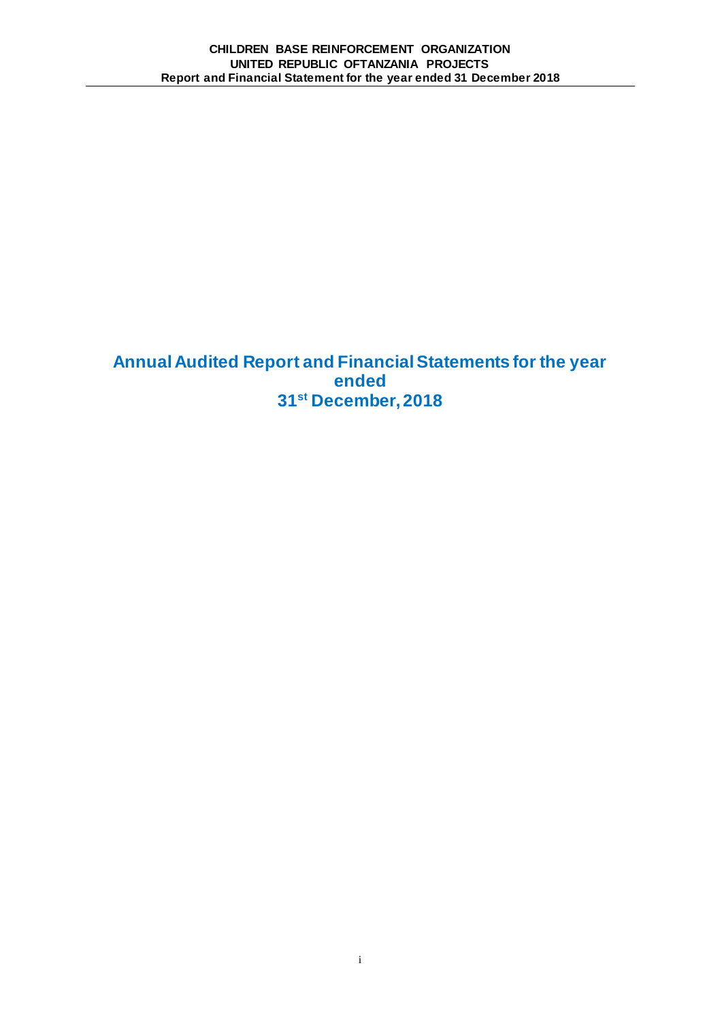**Annual Audited Report and Financial Statements for the year ended 31st December, 2018**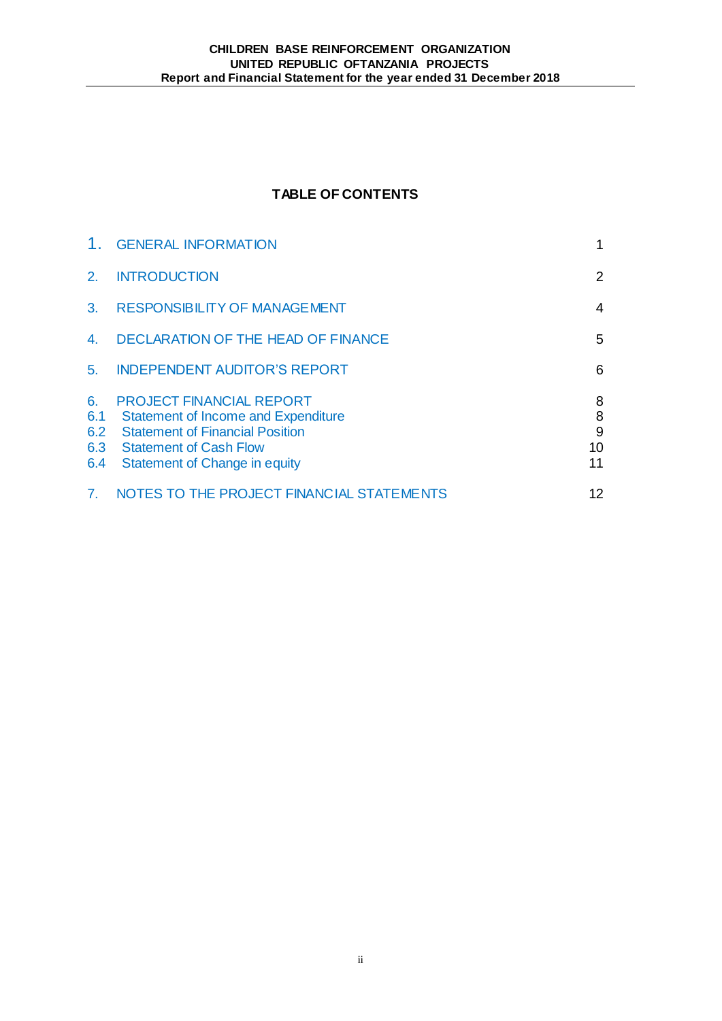# **TABLE OF CONTENTS**

|                                | <b>GENERAL INFORMATION</b>                                                                                                                                                                | 1                       |
|--------------------------------|-------------------------------------------------------------------------------------------------------------------------------------------------------------------------------------------|-------------------------|
| 2.                             | <b>INTRODUCTION</b>                                                                                                                                                                       | $\overline{2}$          |
| 3 <sub>1</sub>                 | <b>RESPONSIBILITY OF MANAGEMENT</b>                                                                                                                                                       | 4                       |
| 4.                             | <b>DECLARATION OF THE HEAD OF FINANCE</b>                                                                                                                                                 | 5                       |
| 5 <sub>1</sub>                 | <b>INDEPENDENT AUDITOR'S REPORT</b>                                                                                                                                                       | 6                       |
| 6.<br>6.1<br>6.2<br>6.3<br>6.4 | <b>PROJECT FINANCIAL REPORT</b><br><b>Statement of Income and Expenditure</b><br><b>Statement of Financial Position</b><br><b>Statement of Cash Flow</b><br>Statement of Change in equity | 8<br>8<br>9<br>10<br>11 |
| 7.                             | NOTES TO THE PROJECT FINANCIAL STATEMENTS                                                                                                                                                 | 12                      |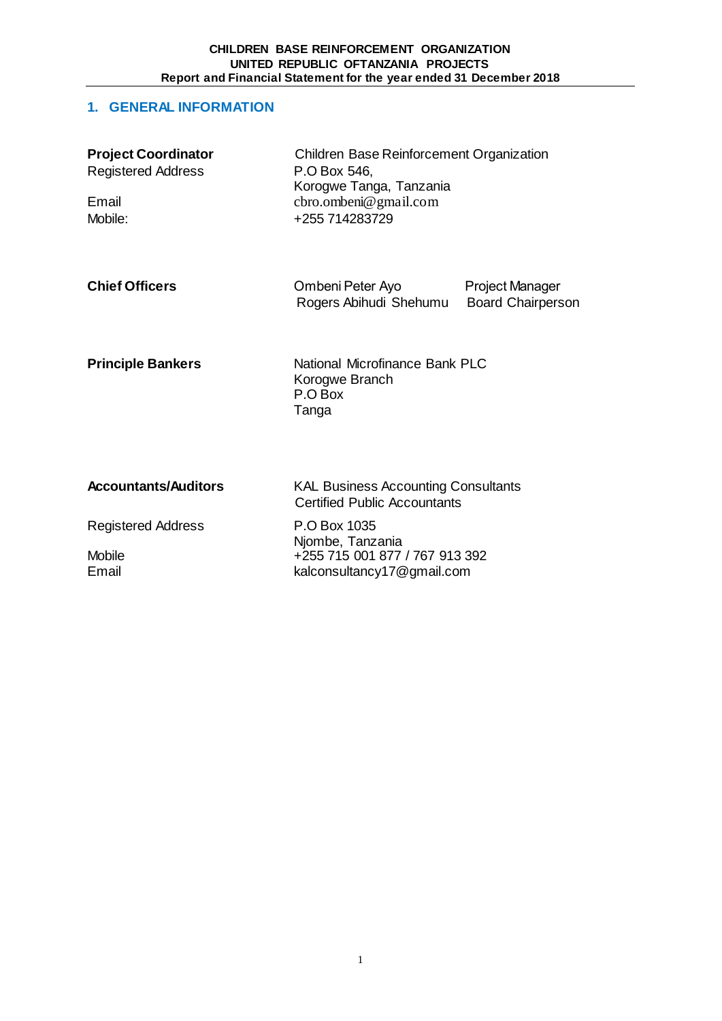# **1. GENERAL INFORMATION**

| <b>Project Coordinator</b><br><b>Registered Address</b><br>Email<br>Mobile: | <b>Children Base Reinforcement Organization</b><br>P.O Box 546,<br>Korogwe Tanga, Tanzania<br>cbro.ombeni@gmail.com<br>+255 714283729 |                                                    |  |
|-----------------------------------------------------------------------------|---------------------------------------------------------------------------------------------------------------------------------------|----------------------------------------------------|--|
| <b>Chief Officers</b>                                                       | Ombeni Peter Ayo<br>Rogers Abihudi Shehumu                                                                                            | <b>Project Manager</b><br><b>Board Chairperson</b> |  |
| <b>Principle Bankers</b>                                                    | Korogwe Branch<br>P.O Box<br>Tanga                                                                                                    | National Microfinance Bank PLC                     |  |
| <b>Accountants/Auditors</b>                                                 | <b>KAL Business Accounting Consultants</b><br><b>Certified Public Accountants</b>                                                     |                                                    |  |
| <b>Registered Address</b><br><b>Mobile</b><br>Email                         | P.O Box 1035<br>Njombe, Tanzania<br>+255 715 001 877 / 767 913 392<br>kalconsultancy17@gmail.com                                      |                                                    |  |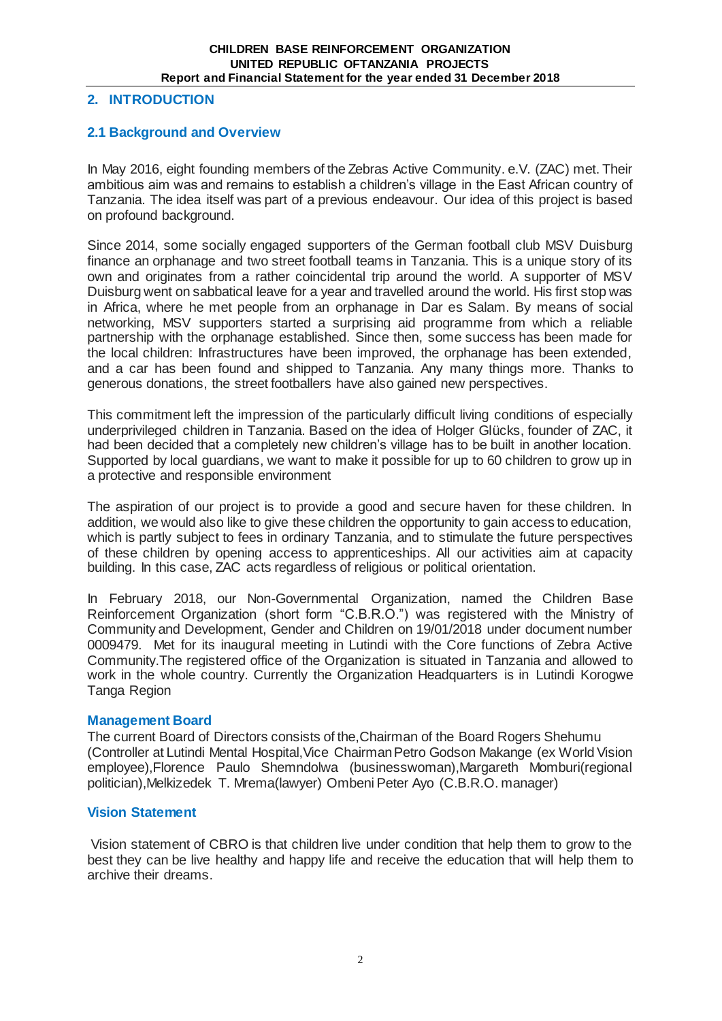# **2. INTRODUCTION**

## **2.1 Background and Overview**

In May 2016, eight founding members of the Zebras Active Community. e.V. (ZAC) met. Their ambitious aim was and remains to establish a children's village in the East African country of Tanzania. The idea itself was part of a previous endeavour. Our idea of this project is based on profound background.

Since 2014, some socially engaged supporters of the German football club MSV Duisburg finance an orphanage and two street football teams in Tanzania. This is a unique story of its own and originates from a rather coincidental trip around the world. A supporter of MSV Duisburg went on sabbatical leave for a year and travelled around the world. His first stop was in Africa, where he met people from an orphanage in Dar es Salam. By means of social networking, MSV supporters started a surprising aid programme from which a reliable partnership with the orphanage established. Since then, some success has been made for the local children: Infrastructures have been improved, the orphanage has been extended, and a car has been found and shipped to Tanzania. Any many things more. Thanks to generous donations, the street footballers have also gained new perspectives.

This commitment left the impression of the particularly difficult living conditions of especially underprivileged children in Tanzania. Based on the idea of Holger Glücks, founder of ZAC, it had been decided that a completely new children's village has to be built in another location. Supported by local guardians, we want to make it possible for up to 60 children to grow up in a protective and responsible environment

The aspiration of our project is to provide a good and secure haven for these children. In addition, we would also like to give these children the opportunity to gain access to education, which is partly subject to fees in ordinary Tanzania, and to stimulate the future perspectives of these children by opening access to apprenticeships. All our activities aim at capacity building. In this case, ZAC acts regardless of religious or political orientation.

In February 2018, our Non-Governmental Organization, named the Children Base Reinforcement Organization (short form "C.B.R.O.") was registered with the Ministry of Community and Development, Gender and Children on 19/01/2018 under document number 0009479. Met for its inaugural meeting in Lutindi with the Core functions of Zebra Active Community.The registered office of the Organization is situated in Tanzania and allowed to work in the whole country. Currently the Organization Headquarters is in Lutindi Korogwe Tanga Region

#### **Management Board**

The current Board of Directors consists of the,Chairman of the Board Rogers Shehumu (Controller at Lutindi Mental Hospital,Vice Chairman Petro Godson Makange (ex World Vision employee),Florence Paulo Shemndolwa (businesswoman),Margareth Momburi(regional politician),Melkizedek T. Mrema(lawyer) Ombeni Peter Ayo (C.B.R.O. manager)

## **Vision Statement**

Vision statement of CBRO is that children live under condition that help them to grow to the best they can be live healthy and happy life and receive the education that will help them to archive their dreams.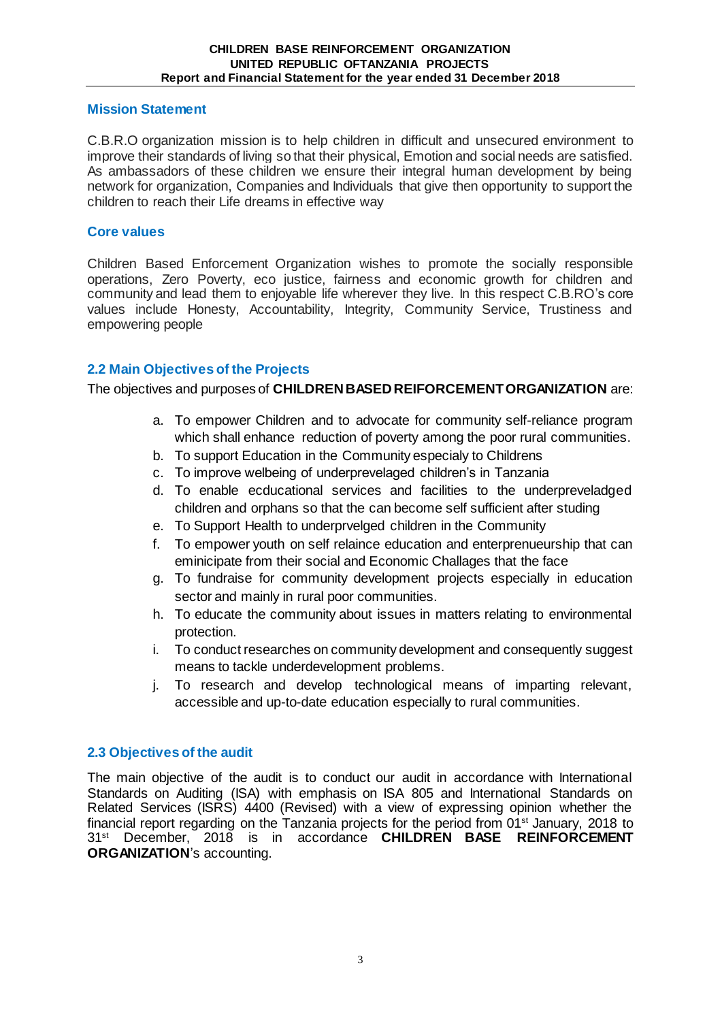## **Mission Statement**

C.B.R.O organization mission is to help children in difficult and unsecured environment to improve their standards of living so that their physical, Emotion and social needs are satisfied. As ambassadors of these children we ensure their integral human development by being network for organization, Companies and Individuals that give then opportunity to support the children to reach their Life dreams in effective way

### **Core values**

Children Based Enforcement Organization wishes to promote the socially responsible operations, Zero Poverty, eco justice, fairness and economic growth for children and community and lead them to enjoyable life wherever they live. In this respect C.B.RO's core values include Honesty, Accountability, Integrity, Community Service, Trustiness and empowering people

## **2.2 Main Objectives of the Projects**

The objectives and purposes of **CHILDREN BASED REIFORCEMENT ORGANIZATION** are:

- a. To empower Children and to advocate for community self-reliance program which shall enhance reduction of poverty among the poor rural communities.
- b. To support Education in the Community especialy to Childrens
- c. To improve welbeing of underprevelaged children's in Tanzania
- d. To enable ecducational services and facilities to the underpreveladged children and orphans so that the can become self sufficient after studing
- e. To Support Health to underprvelged children in the Community
- f. To empower youth on self relaince education and enterprenueurship that can eminicipate from their social and Economic Challages that the face
- g. To fundraise for community development projects especially in education sector and mainly in rural poor communities.
- h. To educate the community about issues in matters relating to environmental protection.
- i. To conduct researches on community development and consequently suggest means to tackle underdevelopment problems.
- j. To research and develop technological means of imparting relevant, accessible and up-to-date education especially to rural communities.

## **2.3 Objectives of the audit**

The main objective of the audit is to conduct our audit in accordance with International Standards on Auditing (ISA) with emphasis on ISA 805 and International Standards on Related Services (ISRS) 4400 (Revised) with a view of expressing opinion whether the financial report regarding on the Tanzania projects for the period from 01<sup>st</sup> January, 2018 to 31st December, 2018 is in accordance **CHILDREN BASE REINFORCEMENT ORGANIZATION**'s accounting.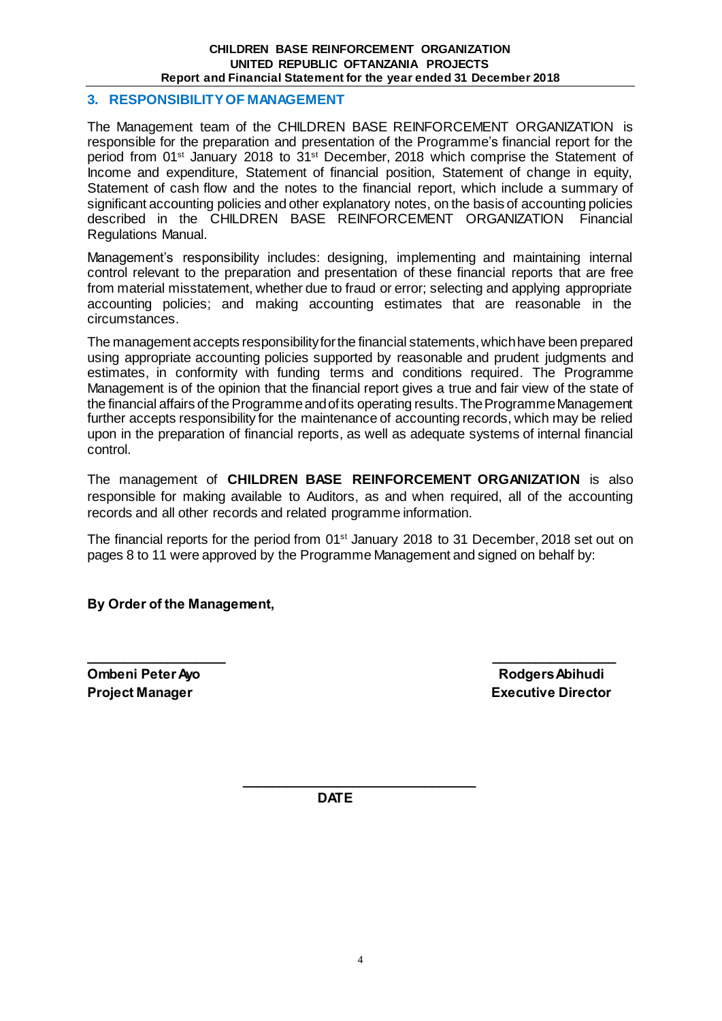#### **CHILDREN BASE REINFORCEMENT ORGANIZATION UNITED REPUBLIC OFTANZANIA PROJECTS Report and Financial Statement for the year ended 31 December 2018**

## **3. RESPONSIBILITY OF MANAGEMENT**

The Management team of the CHILDREN BASE REINFORCEMENT ORGANIZATION is responsible for the preparation and presentation of the Programme's financial report for the period from 01<sup>st</sup> January 2018 to 31<sup>st</sup> December, 2018 which comprise the Statement of Income and expenditure, Statement of financial position, Statement of change in equity, Statement of cash flow and the notes to the financial report, which include a summary of significant accounting policies and other explanatory notes, on the basis of accounting policies described in the CHILDREN BASE REINFORCEMENT ORGANIZATION Financial Regulations Manual.

Management's responsibility includes: designing, implementing and maintaining internal control relevant to the preparation and presentation of these financial reports that are free from material misstatement, whether due to fraud or error; selecting and applying appropriate accounting policies; and making accounting estimates that are reasonable in the circumstances.

The management accepts responsibility for the financial statements, which have been prepared using appropriate accounting policies supported by reasonable and prudent judgments and estimates, in conformity with funding terms and conditions required. The Programme Management is of the opinion that the financial report gives a true and fair view of the state of the financial affairs of the Programme and of its operating results. The Programme Management further accepts responsibility for the maintenance of accounting records, which may be relied upon in the preparation of financial reports, as well as adequate systems of internal financial control.

The management of **CHILDREN BASE REINFORCEMENT ORGANIZATION** is also responsible for making available to Auditors, as and when required, all of the accounting records and all other records and related programme information.

The financial reports for the period from 01<sup>st</sup> January 2018 to 31 December, 2018 set out on pages 8 to 11 were approved by the Programme Management and signed on behalf by:

**\_\_\_\_\_\_\_\_\_\_\_\_\_\_\_\_\_\_\_ \_\_\_\_\_\_\_\_\_\_\_\_\_\_\_\_\_**

**By Order of the Management,**

**Ombeni Peter Ayo Rodgers Abihudi** 

**Project Manager Contract Contract Contract Contract Contract Contract Contract Contract Contract Contract Contract Contract Contract Contract Contract Contract Contract Contract Contract Contract Contract Contract Contrac** 

 **DATE**

 **\_\_\_\_\_\_\_\_\_\_\_\_\_\_\_\_\_\_\_\_\_\_\_\_\_\_\_\_\_\_\_\_**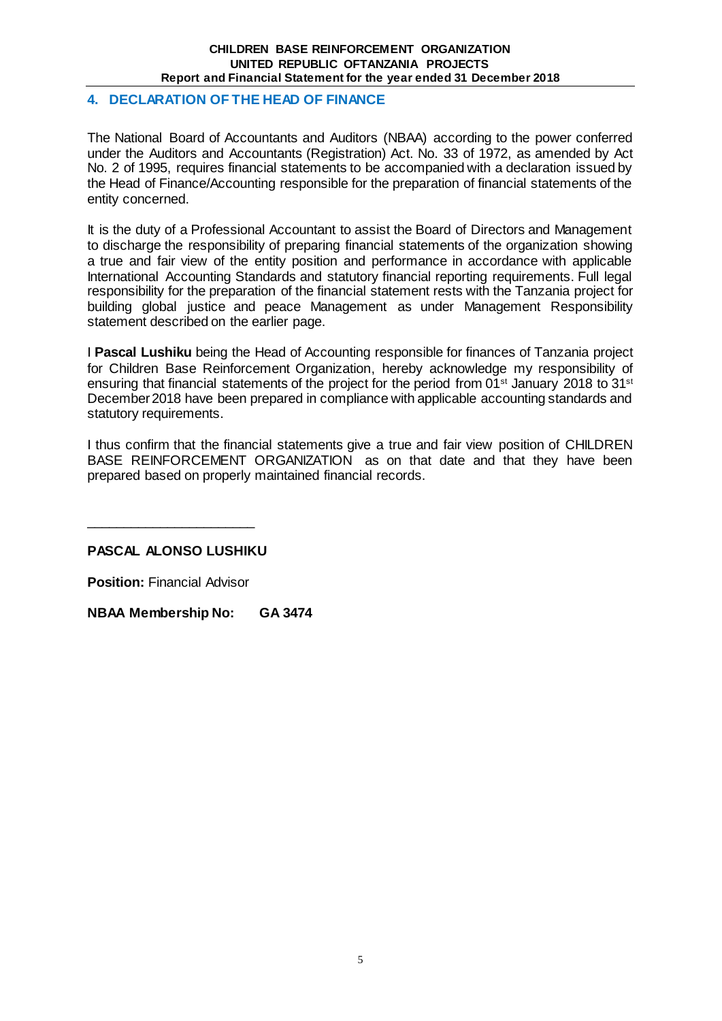# **4. DECLARATION OF THE HEAD OF FINANCE**

The National Board of Accountants and Auditors (NBAA) according to the power conferred under the Auditors and Accountants (Registration) Act. No. 33 of 1972, as amended by Act No. 2 of 1995, requires financial statements to be accompanied with a declaration issued by the Head of Finance/Accounting responsible for the preparation of financial statements of the entity concerned.

It is the duty of a Professional Accountant to assist the Board of Directors and Management to discharge the responsibility of preparing financial statements of the organization showing a true and fair view of the entity position and performance in accordance with applicable International Accounting Standards and statutory financial reporting requirements. Full legal responsibility for the preparation of the financial statement rests with the Tanzania project for building global justice and peace Management as under Management Responsibility statement described on the earlier page.

I **Pascal Lushiku** being the Head of Accounting responsible for finances of Tanzania project for Children Base Reinforcement Organization, hereby acknowledge my responsibility of ensuring that financial statements of the project for the period from 01<sup>st</sup> January 2018 to 31<sup>st</sup> December 2018 have been prepared in compliance with applicable accounting standards and statutory requirements.

I thus confirm that the financial statements give a true and fair view position of CHILDREN BASE REINFORCEMENT ORGANIZATION as on that date and that they have been prepared based on properly maintained financial records.

**PASCAL ALONSO LUSHIKU**

**Position:** Financial Advisor

\_\_\_\_\_\_\_\_\_\_\_\_\_\_\_\_\_\_\_\_\_\_\_

**NBAA Membership No: GA 3474**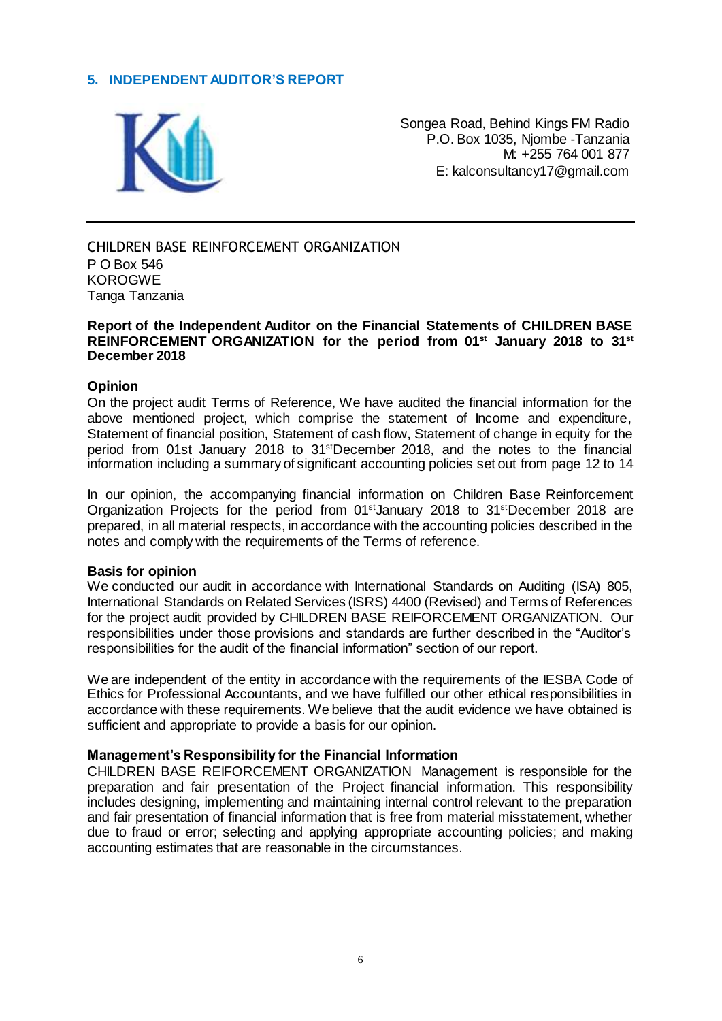# **5. INDEPENDENT AUDITOR'S REPORT**



Songea Road, Behind Kings FM Radio P.O. Box 1035, Njombe -Tanzania M: +255 764 001 877 E: kalconsultancy17@gmail.com

CHILDREN BASE REINFORCEMENT ORGANIZATION P O Box 546 KOROGWE Tanga Tanzania

#### **Report of the Independent Auditor on the Financial Statements of CHILDREN BASE REINFORCEMENT ORGANIZATION for the period from 01st January 2018 to 31st December 2018**

#### **Opinion**

On the project audit Terms of Reference, We have audited the financial information for the above mentioned project, which comprise the statement of Income and expenditure, Statement of financial position, Statement of cash flow, Statement of change in equity for the period from 01st January 2018 to 31stDecember 2018, and the notes to the financial information including a summary of significant accounting policies set out from page 12 to 14

In our opinion, the accompanying financial information on Children Base Reinforcement Organization Projects for the period from  $01<sup>st</sup>$ January 2018 to  $31<sup>st</sup>$ December 2018 are prepared, in all material respects, in accordance with the accounting policies described in the notes and comply with the requirements of the Terms of reference.

#### **Basis for opinion**

We conducted our audit in accordance with International Standards on Auditing (ISA) 805, International Standards on Related Services (ISRS) 4400 (Revised) and Terms of References for the project audit provided by CHILDREN BASE REIFORCEMENT ORGANIZATION. Our responsibilities under those provisions and standards are further described in the "Auditor's responsibilities for the audit of the financial information" section of our report.

We are independent of the entity in accordance with the requirements of the IESBA Code of Ethics for Professional Accountants, and we have fulfilled our other ethical responsibilities in accordance with these requirements. We believe that the audit evidence we have obtained is sufficient and appropriate to provide a basis for our opinion.

#### **Management's Responsibility for the Financial Information**

CHILDREN BASE REIFORCEMENT ORGANIZATION Management is responsible for the preparation and fair presentation of the Project financial information. This responsibility includes designing, implementing and maintaining internal control relevant to the preparation and fair presentation of financial information that is free from material misstatement, whether due to fraud or error; selecting and applying appropriate accounting policies; and making accounting estimates that are reasonable in the circumstances.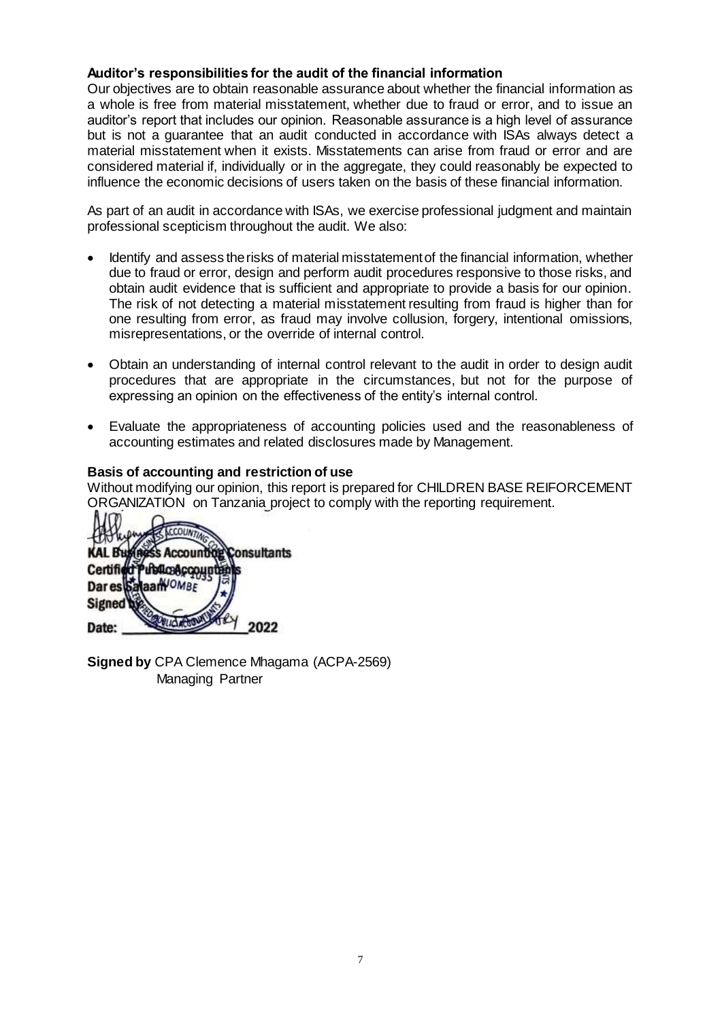# **Auditor's responsibilities for the audit of the financial information**

Our objectives are to obtain reasonable assurance about whether the financial information as a whole is free from material misstatement, whether due to fraud or error, and to issue an auditor's report that includes our opinion. Reasonable assurance is a high level of assurance but is not a guarantee that an audit conducted in accordance with ISAs always detect a material misstatement when it exists. Misstatements can arise from fraud or error and are considered material if, individually or in the aggregate, they could reasonably be expected to influence the economic decisions of users taken on the basis of these financial information.

As part of an audit in accordance with ISAs, we exercise professional judgment and maintain professional scepticism throughout the audit. We also:

- Identify and assess the risks of material misstatement of the financial information, whether due to fraud or error, design and perform audit procedures responsive to those risks, and obtain audit evidence that is sufficient and appropriate to provide a basis for our opinion. The risk of not detecting a material misstatement resulting from fraud is higher than for one resulting from error, as fraud may involve collusion, forgery, intentional omissions, misrepresentations, or the override of internal control.
- Obtain an understanding of internal control relevant to the audit in order to design audit procedures that are appropriate in the circumstances, but not for the purpose of expressing an opinion on the effectiveness of the entity's internal control.
- Evaluate the appropriateness of accounting policies used and the reasonableness of accounting estimates and related disclosures made by Management.

#### **Basis of accounting and restriction of use**

Without modifying our opinion, this report is prepared for CHILDREN BASE REIFORCEMENT ORGANIZATION on Tanzania project to comply with the reporting requirement.

CCOUNTY **Buyingss Account** Consultants Certified Publics&copup aanVOMBE Dares<sub>bi</sub> **Signed** *RILLA ACCOUNT* Date: 2022

**Signed by** CPA Clemence Mhagama (ACPA-2569) Managing Partner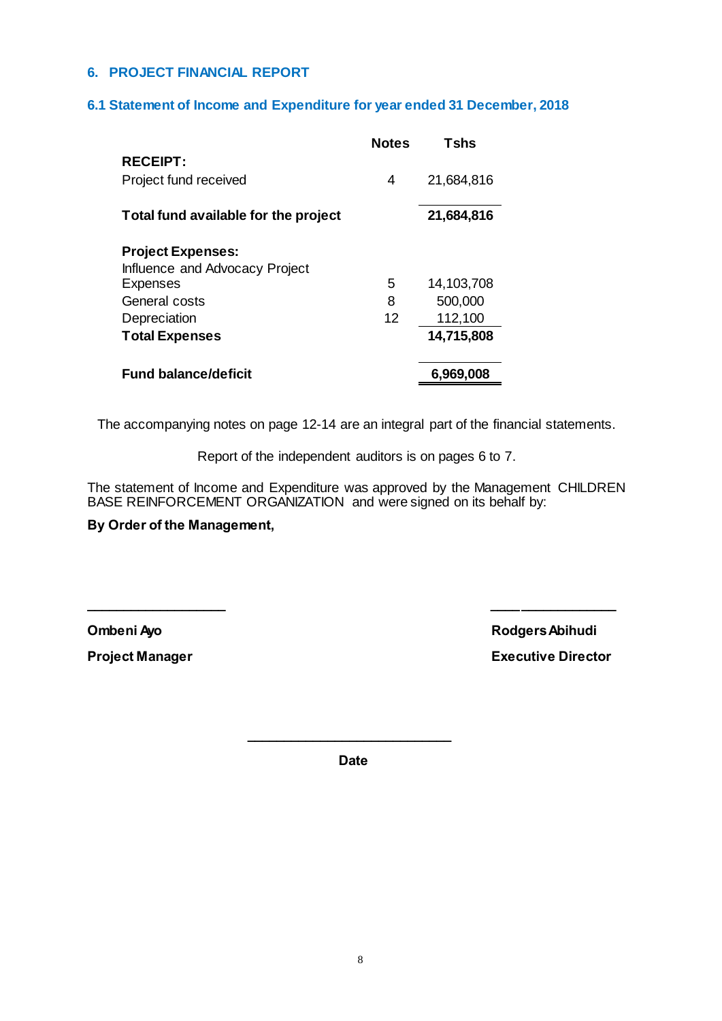## **6. PROJECT FINANCIAL REPORT**

#### **6.1 Statement of Income and Expenditure for year ended 31 December, 2018**

|                                      | <b>Notes</b> | <b>Tshs</b> |
|--------------------------------------|--------------|-------------|
| <b>RECEIPT:</b>                      |              |             |
| Project fund received                | 4            | 21,684,816  |
| Total fund available for the project |              | 21,684,816  |
| <b>Project Expenses:</b>             |              |             |
| Influence and Advocacy Project       |              |             |
| <b>Expenses</b>                      | 5            | 14,103,708  |
| General costs                        | 8            | 500,000     |
| Depreciation                         | 12           | 112,100     |
| <b>Total Expenses</b>                |              | 14,715,808  |
| <b>Fund balance/deficit</b>          |              | 6.969,008   |

The accompanying notes on page 12-14 are an integral part of the financial statements.

Report of the independent auditors is on pages 6 to 7.

The statement of Income and Expenditure was approved by the Management CHILDREN BASE REINFORCEMENT ORGANIZATION and were signed on its behalf by:

**\_\_\_\_\_\_\_\_\_\_\_\_\_\_\_\_\_\_\_ \_\_\_\_\_\_\_\_\_\_\_\_\_\_\_\_\_**

#### **By Order of the Management,**

**Ombeni Ayo Rodgers Abihudi Project Manager Contract Contract Contract Contract Contract Contract Contract Contract Contract Contract Contract Contract Contract Contract Contract Contract Contract Contract Contract Contract Contract Contract Contrac** 

**Date**

**\_\_\_\_\_\_\_\_\_\_\_\_\_\_\_\_\_\_\_\_\_\_\_\_\_\_\_\_**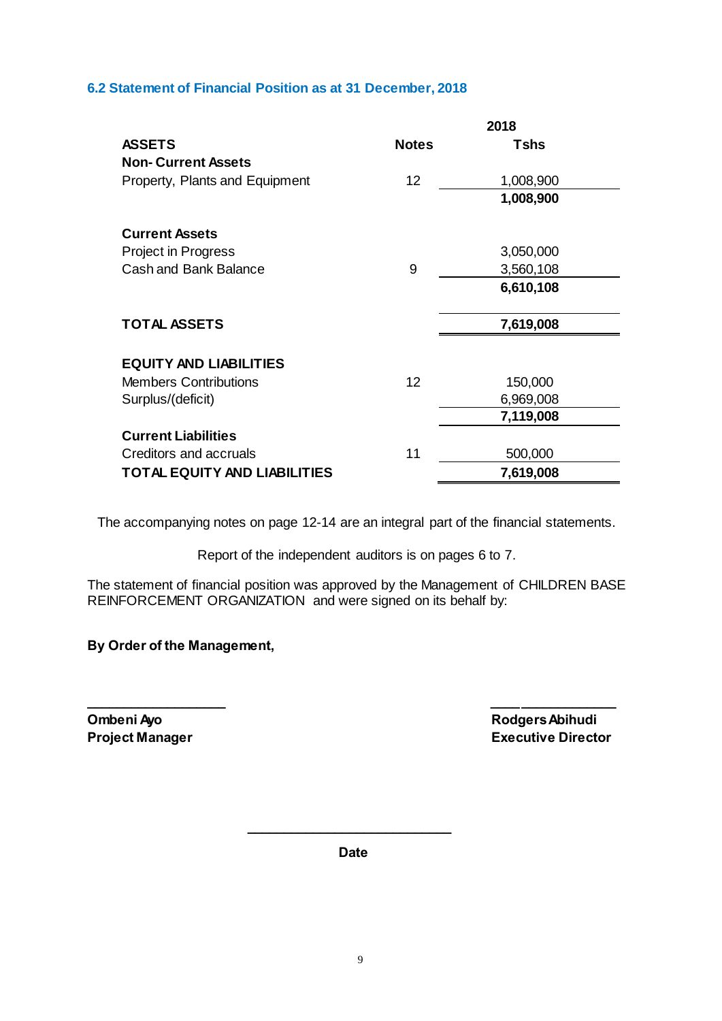# **6.2 Statement of Financial Position as at 31 December, 2018**

|                                     | 2018         |             |  |
|-------------------------------------|--------------|-------------|--|
| <b>ASSETS</b>                       | <b>Notes</b> | <b>Tshs</b> |  |
| <b>Non-Current Assets</b>           |              |             |  |
| Property, Plants and Equipment      | 12           | 1,008,900   |  |
|                                     |              | 1,008,900   |  |
| <b>Current Assets</b>               |              |             |  |
| Project in Progress                 |              | 3,050,000   |  |
| <b>Cash and Bank Balance</b>        | 9            | 3,560,108   |  |
|                                     |              | 6,610,108   |  |
| <b>TOTAL ASSETS</b>                 |              | 7,619,008   |  |
| <b>EQUITY AND LIABILITIES</b>       |              |             |  |
| <b>Members Contributions</b>        | 12           | 150,000     |  |
| Surplus/(deficit)                   |              | 6,969,008   |  |
|                                     |              | 7,119,008   |  |
| <b>Current Liabilities</b>          |              |             |  |
| Creditors and accruals              | 11           | 500,000     |  |
| <b>TOTAL EQUITY AND LIABILITIES</b> |              | 7,619,008   |  |

The accompanying notes on page 12-14 are an integral part of the financial statements.

Report of the independent auditors is on pages 6 to 7.

The statement of financial position was approved by the Management of CHILDREN BASE REINFORCEMENT ORGANIZATION and were signed on its behalf by:

**\_\_\_\_\_\_\_\_\_\_\_\_\_\_\_\_\_\_\_ \_\_\_\_\_\_\_\_\_\_\_\_\_\_\_\_\_**

# **By Order of the Management,**

**Ombeni Ayo** Rodgers Abihudi

**Project Manager Contract Contract Contract Contract Contract Contract Contract Contract Contract Contract Contract Contract Contract Contract Contract Contract Contract Contract Contract Contract Contract Contract Contrac** 

**Date**

**\_\_\_\_\_\_\_\_\_\_\_\_\_\_\_\_\_\_\_\_\_\_\_\_\_\_\_\_**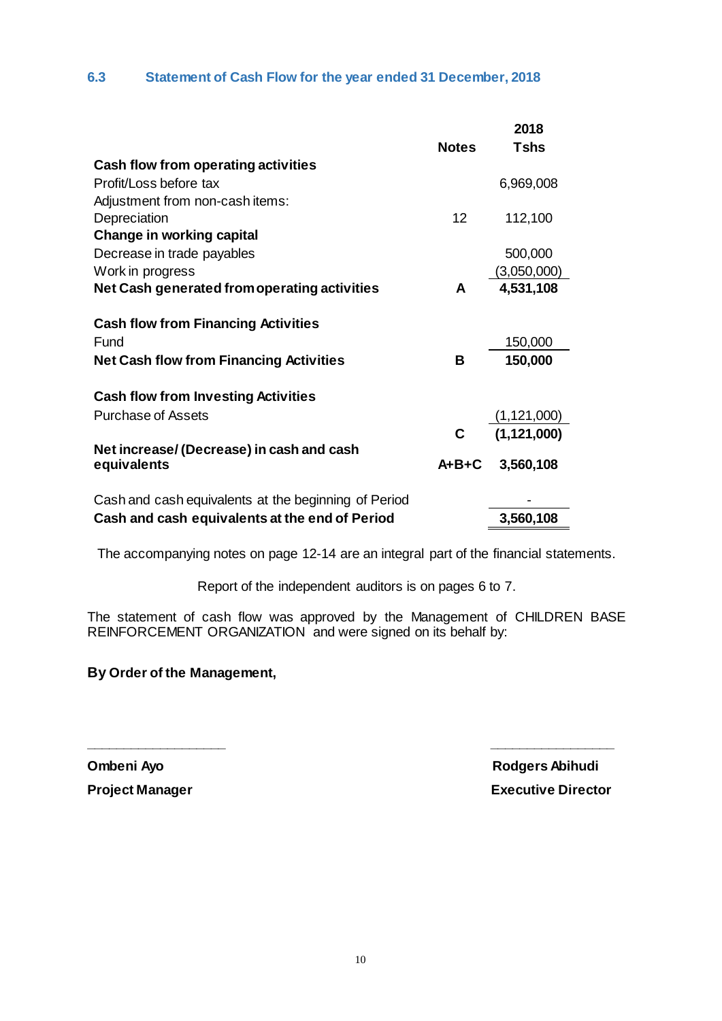# **6.3 Statement of Cash Flow for the year ended 31 December, 2018**

|                                                      |              | 2018          |
|------------------------------------------------------|--------------|---------------|
|                                                      | <b>Notes</b> | <b>Tshs</b>   |
| Cash flow from operating activities                  |              |               |
| Profit/Loss before tax                               |              | 6,969,008     |
| Adjustment from non-cash items:                      |              |               |
| Depreciation                                         | 12           | 112,100       |
| <b>Change in working capital</b>                     |              |               |
| Decrease in trade payables                           |              | 500,000       |
| Work in progress                                     |              | (3,050,000)   |
| Net Cash generated from operating activities         | A            | 4,531,108     |
|                                                      |              |               |
| <b>Cash flow from Financing Activities</b>           |              |               |
| Fund                                                 |              | 150,000       |
| <b>Net Cash flow from Financing Activities</b>       | В            | 150,000       |
|                                                      |              |               |
| <b>Cash flow from Investing Activities</b>           |              |               |
| <b>Purchase of Assets</b>                            |              | (1, 121, 000) |
|                                                      | C            | (1, 121, 000) |
| Net increase/ (Decrease) in cash and cash            |              |               |
| equivalents                                          | $A + B + C$  | 3,560,108     |
|                                                      |              |               |
| Cash and cash equivalents at the beginning of Period |              |               |
| Cash and cash equivalents at the end of Period       |              | 3,560,108     |

The accompanying notes on page 12-14 are an integral part of the financial statements.

Report of the independent auditors is on pages 6 to 7.

The statement of cash flow was approved by the Management of CHILDREN BASE REINFORCEMENT ORGANIZATION and were signed on its behalf by:

**\_\_\_\_\_\_\_\_\_\_\_\_\_\_\_\_\_\_\_ \_\_\_\_\_\_\_\_\_\_\_\_\_\_\_\_\_**

# **By Order of the Management,**

**Ombeni Ayo Rodgers Abihudi Project Manager Contract Contract Contract Contract Contract Contract Contract Contract Contract Contract Contract Contract Contract Contract Contract Contract Contract Contract Contract Contract Contract Contract Contrac**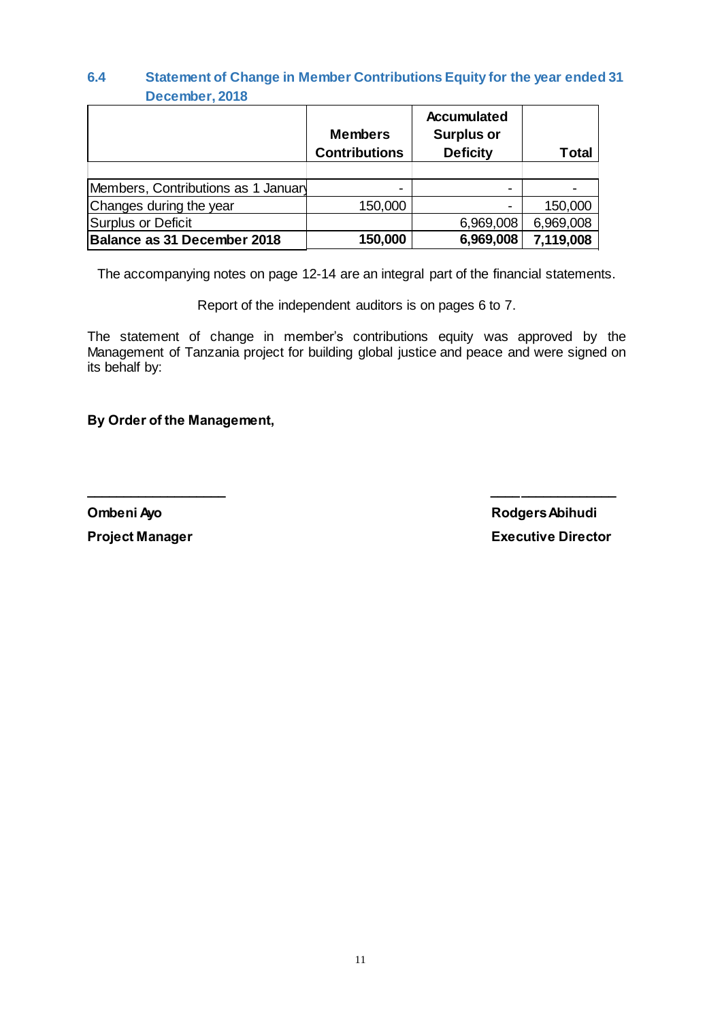# **6.4 Statement of Change in Member Contributions Equity for the year ended 31 December, 2018**

|                                     | <b>Members</b><br><b>Contributions</b> | <b>Accumulated</b><br><b>Surplus or</b><br><b>Deficity</b> | Total     |
|-------------------------------------|----------------------------------------|------------------------------------------------------------|-----------|
|                                     |                                        |                                                            |           |
| Members, Contributions as 1 January |                                        |                                                            |           |
| Changes during the year             | 150,000                                |                                                            | 150,000   |
| Surplus or Deficit                  |                                        | 6,969,008                                                  | 6,969,008 |
| Balance as 31 December 2018         | 150,000                                | 6,969,008                                                  | 7,119,008 |

The accompanying notes on page 12-14 are an integral part of the financial statements.

Report of the independent auditors is on pages 6 to 7.

The statement of change in member's contributions equity was approved by the Management of Tanzania project for building global justice and peace and were signed on its behalf by:

**\_\_\_\_\_\_\_\_\_\_\_\_\_\_\_\_\_\_\_ \_\_\_\_\_\_\_\_\_\_\_\_\_\_\_\_\_**

**By Order of the Management,**

**Ombeni Ayo Rodgers Abihudi Project Manager Contract Contract Contract Contract Contract Contract Contract Contract Contract Contract Contract Contract Contract Contract Contract Contract Contract Contract Contract Contract Contract Contract Contrac**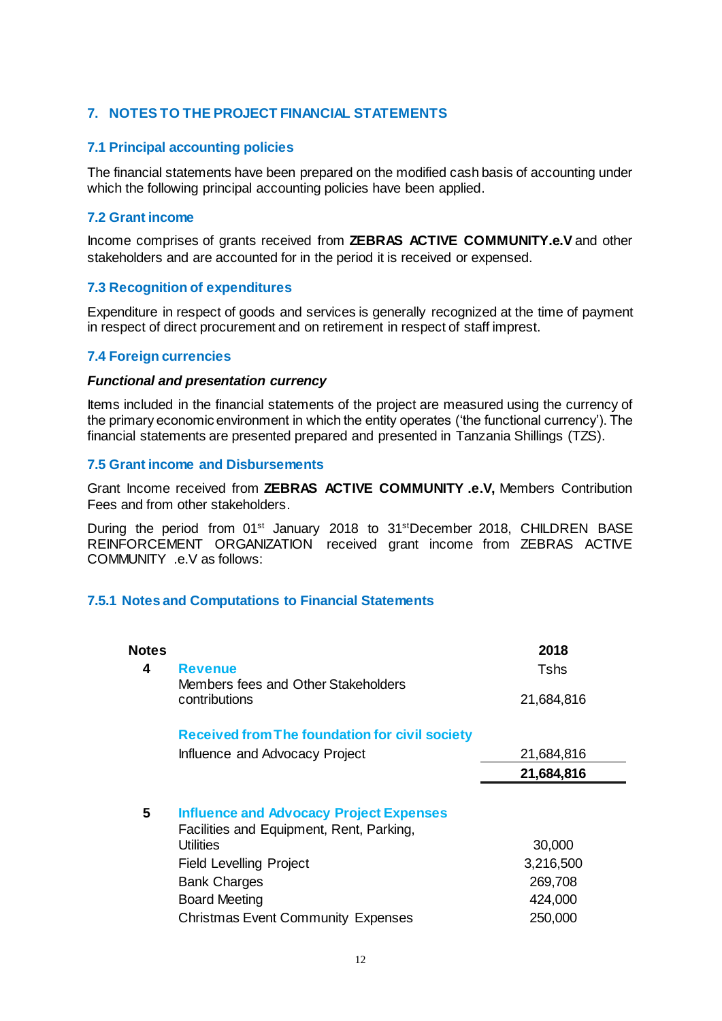# **7. NOTES TO THE PROJECT FINANCIAL STATEMENTS**

#### **7.1 Principal accounting policies**

The financial statements have been prepared on the modified cash basis of accounting under which the following principal accounting policies have been applied.

#### **7.2 Grant income**

Income comprises of grants received from **ZEBRAS ACTIVE COMMUNITY.e.V** and other stakeholders and are accounted for in the period it is received or expensed.

#### **7.3 Recognition of expenditures**

Expenditure in respect of goods and services is generally recognized at the time of payment in respect of direct procurement and on retirement in respect of staff imprest.

#### **7.4 Foreign currencies**

#### *Functional and presentation currency*

Items included in the financial statements of the project are measured using the currency of the primary economic environment in which the entity operates ('the functional currency'). The financial statements are presented prepared and presented in Tanzania Shillings (TZS).

#### **7.5 Grant income and Disbursements**

Grant Income received from **ZEBRAS ACTIVE COMMUNITY .e.V,** Members Contribution Fees and from other stakeholders.

During the period from 01<sup>st</sup> January 2018 to 31<sup>st</sup>December 2018, CHILDREN BASE REINFORCEMENT ORGANIZATION received grant income from ZEBRAS ACTIVE COMMUNITY .e.V as follows:

#### **7.5.1 Notes and Computations to Financial Statements**

| Notes |                                                       | 2018       |
|-------|-------------------------------------------------------|------------|
| 4     | <b>Revenue</b>                                        | Tshs       |
|       | Members fees and Other Stakeholders                   |            |
|       | contributions                                         | 21,684,816 |
|       | <b>Received from The foundation for civil society</b> |            |
|       | Influence and Advocacy Project                        | 21,684,816 |
|       |                                                       | 21,684,816 |
|       |                                                       |            |
| 5     | <b>Influence and Advocacy Project Expenses</b>        |            |
|       | Facilities and Equipment, Rent, Parking,              |            |
|       | Utilities                                             | 30,000     |
|       | <b>Field Levelling Project</b>                        | 3,216,500  |
|       | <b>Bank Charges</b>                                   | 269,708    |
|       | <b>Board Meeting</b>                                  | 424,000    |
|       | <b>Christmas Event Community Expenses</b>             | 250,000    |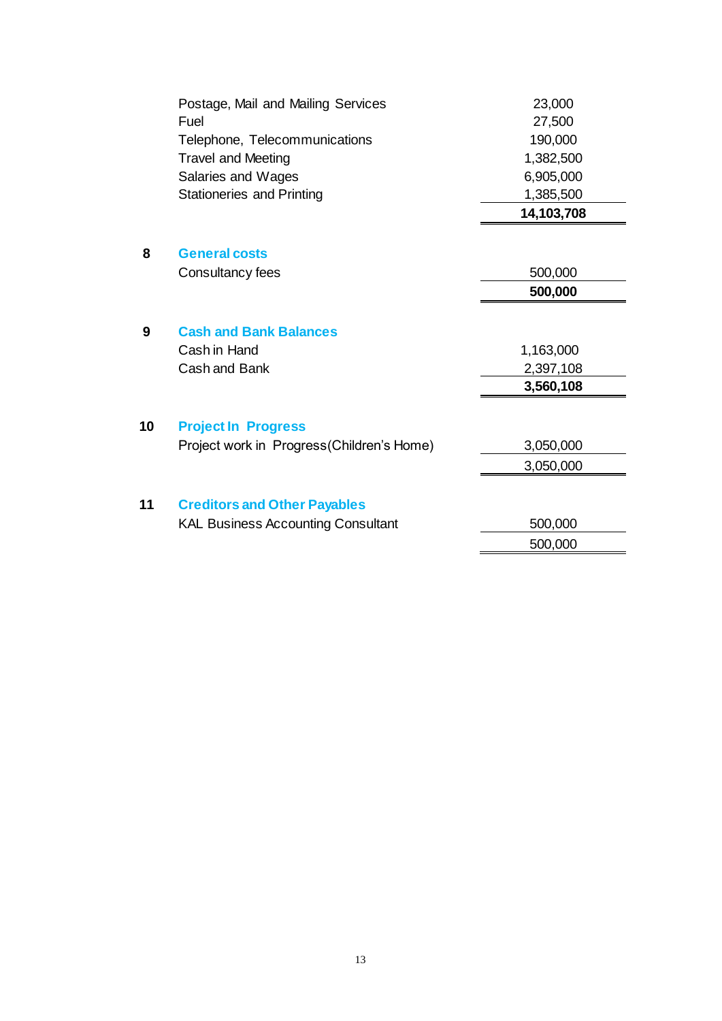|    | Postage, Mail and Mailing Services        | 23,000     |
|----|-------------------------------------------|------------|
|    | Fuel                                      | 27,500     |
|    | Telephone, Telecommunications             | 190,000    |
|    | <b>Travel and Meeting</b>                 | 1,382,500  |
|    | Salaries and Wages                        | 6,905,000  |
|    | <b>Stationeries and Printing</b>          | 1,385,500  |
|    |                                           | 14,103,708 |
|    |                                           |            |
| 8  | <b>General costs</b>                      |            |
|    | Consultancy fees                          | 500,000    |
|    |                                           | 500,000    |
|    |                                           |            |
| 9  | <b>Cash and Bank Balances</b>             |            |
|    | Cash in Hand                              | 1,163,000  |
|    | Cash and Bank                             | 2,397,108  |
|    |                                           | 3,560,108  |
| 10 |                                           |            |
|    | <b>Project In Progress</b>                |            |
|    | Project work in Progress(Children's Home) | 3,050,000  |
|    |                                           | 3,050,000  |
| 11 | <b>Creditors and Other Payables</b>       |            |
|    | <b>KAL Business Accounting Consultant</b> | 500,000    |
|    |                                           | 500,000    |